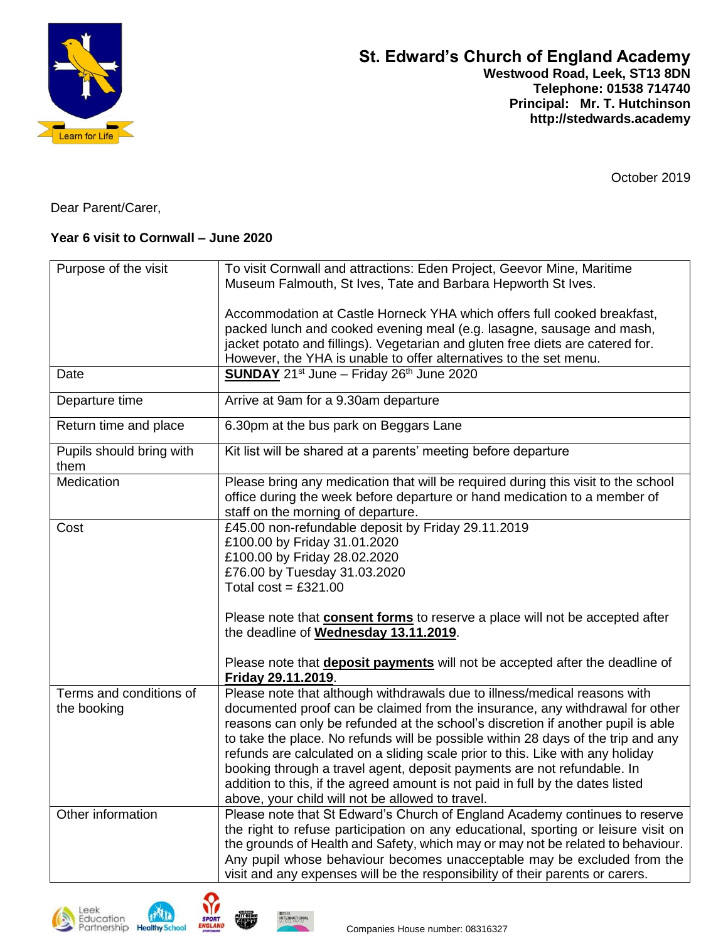

October 2019

Dear Parent/Carer,

## **Year 6 visit to Cornwall – June 2020**

| Purpose of the visit     | To visit Cornwall and attractions: Eden Project, Geevor Mine, Maritime              |
|--------------------------|-------------------------------------------------------------------------------------|
|                          | Museum Falmouth, St Ives, Tate and Barbara Hepworth St Ives.                        |
|                          |                                                                                     |
|                          | Accommodation at Castle Horneck YHA which offers full cooked breakfast,             |
|                          | packed lunch and cooked evening meal (e.g. lasagne, sausage and mash,               |
|                          |                                                                                     |
|                          | jacket potato and fillings). Vegetarian and gluten free diets are catered for.      |
|                          | However, the YHA is unable to offer alternatives to the set menu.                   |
| Date                     | <b>SUNDAY</b> 21 <sup>st</sup> June - Friday 26 <sup>th</sup> June 2020             |
| Departure time           | Arrive at 9am for a 9.30am departure                                                |
| Return time and place    | 6.30pm at the bus park on Beggars Lane                                              |
| Pupils should bring with | Kit list will be shared at a parents' meeting before departure                      |
| them                     |                                                                                     |
| Medication               | Please bring any medication that will be required during this visit to the school   |
|                          | office during the week before departure or hand medication to a member of           |
|                          | staff on the morning of departure.                                                  |
| Cost                     | £45.00 non-refundable deposit by Friday 29.11.2019                                  |
|                          |                                                                                     |
|                          | £100.00 by Friday 31.01.2020                                                        |
|                          | £100.00 by Friday 28.02.2020                                                        |
|                          | £76.00 by Tuesday 31.03.2020                                                        |
|                          | Total cost = $£321.00$                                                              |
|                          | Please note that <b>consent forms</b> to reserve a place will not be accepted after |
|                          | the deadline of Wednesday 13.11.2019.                                               |
|                          |                                                                                     |
|                          | Please note that <b>deposit payments</b> will not be accepted after the deadline of |
|                          | Friday 29.11.2019.                                                                  |
| Terms and conditions of  | Please note that although withdrawals due to illness/medical reasons with           |
| the booking              | documented proof can be claimed from the insurance, any withdrawal for other        |
|                          | reasons can only be refunded at the school's discretion if another pupil is able    |
|                          | to take the place. No refunds will be possible within 28 days of the trip and any   |
|                          | refunds are calculated on a sliding scale prior to this. Like with any holiday      |
|                          |                                                                                     |
|                          | booking through a travel agent, deposit payments are not refundable. In             |
|                          | addition to this, if the agreed amount is not paid in full by the dates listed      |
|                          | above, your child will not be allowed to travel.                                    |
| Other information        | Please note that St Edward's Church of England Academy continues to reserve         |
|                          | the right to refuse participation on any educational, sporting or leisure visit on  |
|                          | the grounds of Health and Safety, which may or may not be related to behaviour.     |
|                          | Any pupil whose behaviour becomes unacceptable may be excluded from the             |
|                          | visit and any expenses will be the responsibility of their parents or carers.       |